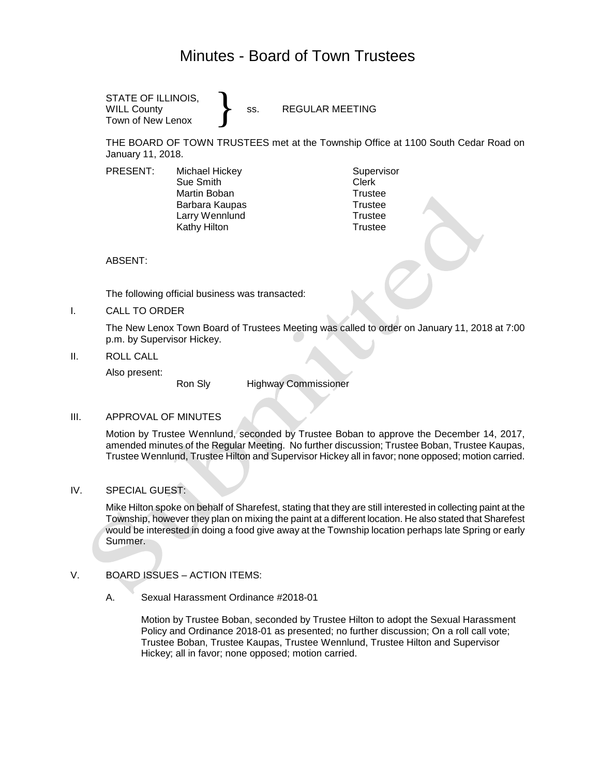# Minutes - Board of Town Trustees

} STATE OF ILLINOIS, WILL County **SACE SECULAR MEETING** Town of New Lenox

THE BOARD OF TOWN TRUSTEES met at the Township Office at 1100 South Cedar Road on January 11, 2018.

PRESENT: Michael Hickey Supervisor Sue Smith Clerk Martin Boban **Trustee** Barbara Kaupas Trustee Larry Wennlund Trustee

Kathy Hilton **Trustee** 

ABSENT:

The following official business was transacted:

I. CALL TO ORDER

The New Lenox Town Board of Trustees Meeting was called to order on January 11, 2018 at 7:00 p.m. by Supervisor Hickey.

II. ROLL CALL

Also present:

Ron Sly Highway Commissioner

## III. APPROVAL OF MINUTES

Motion by Trustee Wennlund, seconded by Trustee Boban to approve the December 14, 2017, amended minutes of the Regular Meeting. No further discussion; Trustee Boban, Trustee Kaupas, Trustee Wennlund, Trustee Hilton and Supervisor Hickey all in favor; none opposed; motion carried.

IV. SPECIAL GUEST:

Mike Hilton spoke on behalf of Sharefest, stating that they are still interested in collecting paint at the Township, however they plan on mixing the paint at a different location. He also stated that Sharefest would be interested in doing a food give away at the Township location perhaps late Spring or early Summer.

## V. BOARD ISSUES – ACTION ITEMS:

A. Sexual Harassment Ordinance #2018-01

Motion by Trustee Boban, seconded by Trustee Hilton to adopt the Sexual Harassment Policy and Ordinance 2018-01 as presented; no further discussion; On a roll call vote; Trustee Boban, Trustee Kaupas, Trustee Wennlund, Trustee Hilton and Supervisor Hickey; all in favor; none opposed; motion carried.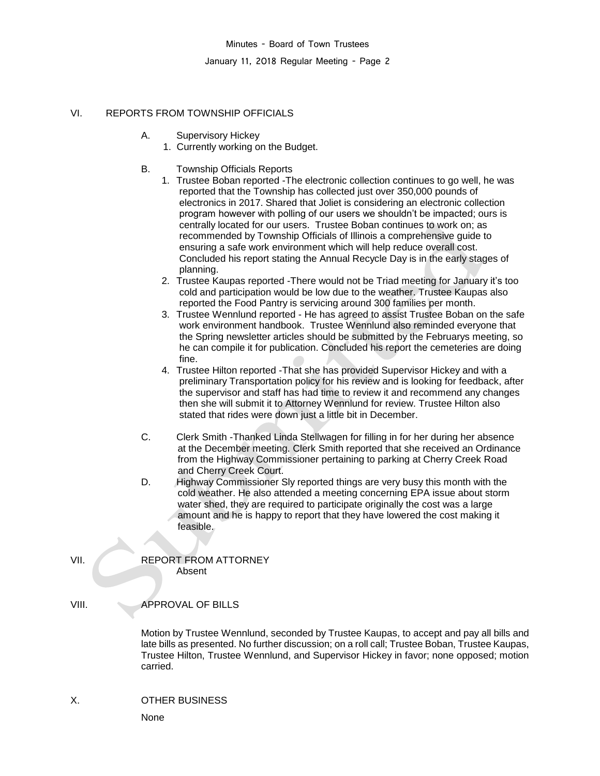Minutes - Board of Town Trustees

January 11, 2018 Regular Meeting - Page 2

# VI. REPORTS FROM TOWNSHIP OFFICIALS

- A. Supervisory Hickey
	- 1. Currently working on the Budget.
- B. Township Officials Reports
	- 1. Trustee Boban reported -The electronic collection continues to go well, he was reported that the Township has collected just over 350,000 pounds of electronics in 2017. Shared that Joliet is considering an electronic collection program however with polling of our users we shouldn't be impacted; ours is centrally located for our users. Trustee Boban continues to work on; as recommended by Township Officials of Illinois a comprehensive guide to ensuring a safe work environment which will help reduce overall cost. Concluded his report stating the Annual Recycle Day is in the early stages of planning.
	- 2. Trustee Kaupas reported -There would not be Triad meeting for January it's too cold and participation would be low due to the weather. Trustee Kaupas also reported the Food Pantry is servicing around 300 families per month.
	- 3. Trustee Wennlund reported He has agreed to assist Trustee Boban on the safe work environment handbook. Trustee Wennlund also reminded everyone that the Spring newsletter articles should be submitted by the Februarys meeting, so he can compile it for publication. Concluded his report the cemeteries are doing fine.
	- 4. Trustee Hilton reported -That she has provided Supervisor Hickey and with a preliminary Transportation policy for his review and is looking for feedback, after the supervisor and staff has had time to review it and recommend any changes then she will submit it to Attorney Wennlund for review. Trustee Hilton also stated that rides were down just a little bit in December.
- C. Clerk Smith -Thanked Linda Stellwagen for filling in for her during her absence at the December meeting. Clerk Smith reported that she received an Ordinance from the Highway Commissioner pertaining to parking at Cherry Creek Road and Cherry Creek Court.
- D. Highway Commissioner Sly reported things are very busy this month with the cold weather. He also attended a meeting concerning EPA issue about storm water shed, they are required to participate originally the cost was a large amount and he is happy to report that they have lowered the cost making it feasible.

VII. REPORT FROM ATTORNEY Absent

# VIII. APPROVAL OF BILLS

Motion by Trustee Wennlund, seconded by Trustee Kaupas, to accept and pay all bills and late bills as presented. No further discussion; on a roll call; Trustee Boban, Trustee Kaupas, Trustee Hilton, Trustee Wennlund, and Supervisor Hickey in favor; none opposed; motion carried.

# X. OTHER BUSINESS

None